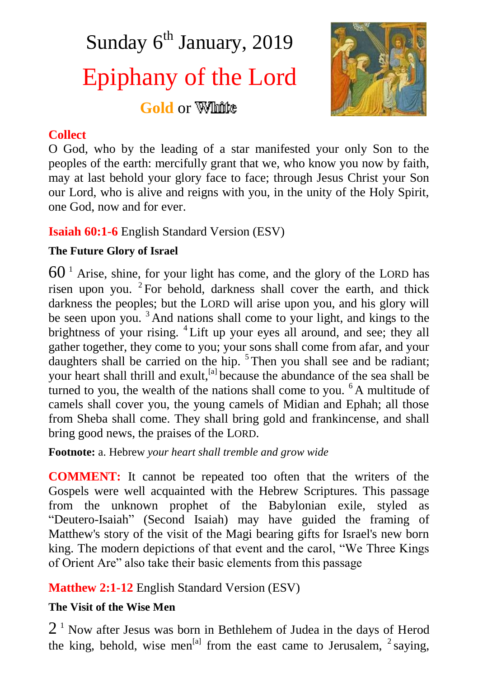Sunday  $6<sup>th</sup>$  January, 2019 Epiphany of the Lord

**Gold** or **White** 

## **Collect**

O God, who by the leading of a star manifested your only Son to the peoples of the earth: mercifully grant that we, who know you now by faith, may at last behold your glory face to face; through Jesus Christ your Son our Lord, who is alive and reigns with you, in the unity of the Holy Spirit, one God, now and for ever.

# **Isaiah 60:1-6** English Standard Version (ESV)

## **The Future Glory of Israel**

 $60<sup>1</sup>$  Arise, shine, for your light has come, and the glory of the LORD has risen upon you. <sup>2</sup> For behold, darkness shall cover the earth, and thick darkness the peoples; but the LORD will arise upon you, and his glory will be seen upon you.  $3$  And nations shall come to your light, and kings to the brightness of your rising. <sup>4</sup> Lift up your eyes all around, and see; they all gather together, they come to you; your sons shall come from afar, and your daughters shall be carried on the hip. <sup>5</sup>Then you shall see and be radiant; your heart shall thrill and exult.<sup>[a]</sup> because the abundance of the sea shall be turned to you, the wealth of the nations shall come to you. <sup>6</sup> A multitude of camels shall cover you, the young camels of Midian and Ephah; all those from Sheba shall come. They shall bring gold and frankincense, and shall bring good news, the praises of the LORD.

**Footnote:** a. Hebrew *your heart shall tremble and grow wide*

**COMMENT:** It cannot be repeated too often that the writers of the Gospels were well acquainted with the Hebrew Scriptures. This passage from the unknown prophet of the Babylonian exile, styled as "Deutero-Isaiah" (Second Isaiah) may have guided the framing of Matthew's story of the visit of the Magi bearing gifts for Israel's new born king. The modern depictions of that event and the carol, "We Three Kings of Orient Are" also take their basic elements from this passage

**Matthew 2:1-12** English Standard Version (ESV)

## **The Visit of the Wise Men**

 $2<sup>1</sup>$  Now after Jesus was born in Bethlehem of Judea in the days of Herod the king, behold, wise men<sup>[a]</sup> from the east came to Jerusalem,  $2$  saying,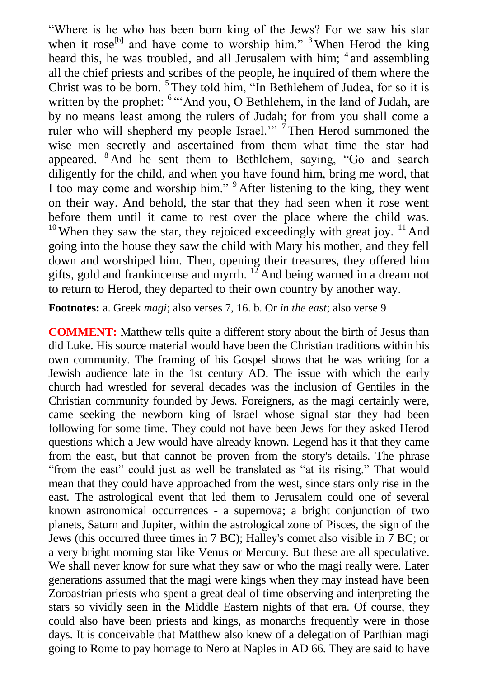"Where is he who has been born king of the Jews? For we saw his star when it rose<sup>[b]</sup> and have come to worship him." <sup>3</sup> When Herod the king heard this, he was troubled, and all Jerusalem with him; <sup>4</sup> and assembling all the chief priests and scribes of the people, he inquired of them where the Christ was to be born.  $5$  They told him, "In Bethlehem of Judea, for so it is written by the prophet: <sup>6 \*\*\*</sup>And you, O Bethlehem, in the land of Judah, are by no means least among the rulers of Judah; for from you shall come a ruler who will shepherd my people Israel."<sup> $\frac{7}{7}$ </sup>Then Herod summoned the wise men secretly and ascertained from them what time the star had appeared. <sup>8</sup> And he sent them to Bethlehem, saying, "Go and search diligently for the child, and when you have found him, bring me word, that I too may come and worship him." <sup>9</sup> After listening to the king, they went on their way. And behold, the star that they had seen when it rose went before them until it came to rest over the place where the child was.  $10$  When they saw the star, they rejoiced exceedingly with great joy.  $11$  And going into the house they saw the child with Mary his mother, and they fell down and worshiped him. Then, opening their treasures, they offered him gifts, gold and frankincense and myrrh.  $12$  And being warned in a dream not to return to Herod, they departed to their own country by another way.

**Footnotes:** a. Greek *magi*; also verses 7, 16. b. Or *in the east*; also verse 9

**COMMENT:** Matthew tells quite a different story about the birth of Jesus than did Luke. His source material would have been the Christian traditions within his own community. The framing of his Gospel shows that he was writing for a Jewish audience late in the 1st century AD. The issue with which the early church had wrestled for several decades was the inclusion of Gentiles in the Christian community founded by Jews. Foreigners, as the magi certainly were, came seeking the newborn king of Israel whose signal star they had been following for some time. They could not have been Jews for they asked Herod questions which a Jew would have already known. Legend has it that they came from the east, but that cannot be proven from the story's details. The phrase "from the east" could just as well be translated as "at its rising." That would mean that they could have approached from the west, since stars only rise in the east. The astrological event that led them to Jerusalem could one of several known astronomical occurrences - a supernova; a bright conjunction of two planets, Saturn and Jupiter, within the astrological zone of Pisces, the sign of the Jews (this occurred three times in 7 BC); Halley's comet also visible in 7 BC; or a very bright morning star like Venus or Mercury. But these are all speculative. We shall never know for sure what they saw or who the magi really were. Later generations assumed that the magi were kings when they may instead have been Zoroastrian priests who spent a great deal of time observing and interpreting the stars so vividly seen in the Middle Eastern nights of that era. Of course, they could also have been priests and kings, as monarchs frequently were in those days. It is conceivable that Matthew also knew of a delegation of Parthian magi going to Rome to pay homage to Nero at Naples in AD 66. They are said to have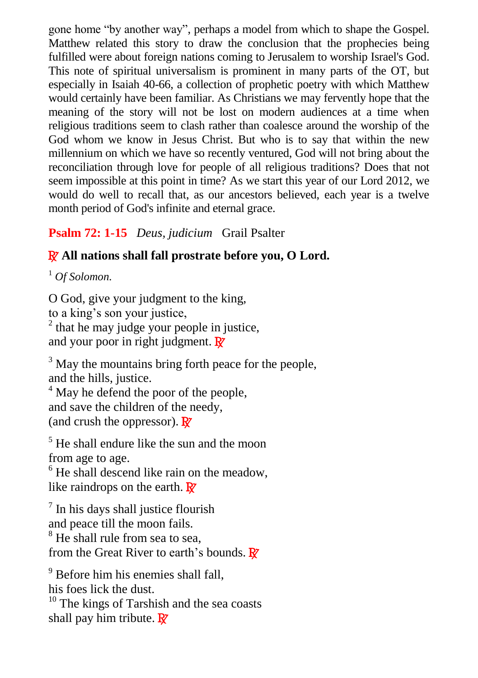gone home "by another way", perhaps a model from which to shape the Gospel. Matthew related this story to draw the conclusion that the prophecies being fulfilled were about foreign nations coming to Jerusalem to worship Israel's God. This note of spiritual universalism is prominent in many parts of the OT, but especially in Isaiah 40-66, a collection of prophetic poetry with which Matthew would certainly have been familiar. As Christians we may fervently hope that the meaning of the story will not be lost on modern audiences at a time when religious traditions seem to clash rather than coalesce around the worship of the God whom we know in Jesus Christ. But who is to say that within the new millennium on which we have so recently ventured, God will not bring about the reconciliation through love for people of all religious traditions? Does that not seem impossible at this point in time? As we start this year of our Lord 2012, we would do well to recall that, as our ancestors believed, each year is a twelve month period of God's infinite and eternal grace.

# **Psalm 72: 1-15** *Deus, judicium* Grail Psalter

# R **All nations shall fall prostrate before you, O Lord.**

<sup>1</sup> *Of Solomon.*

O God, give your judgment to the king, to a king's son your justice,  $2$  that he may judge your people in justice, and your poor in right judgment.  $\mathbb{R}^7$ 

 $3$  May the mountains bring forth peace for the people, and the hills, justice.

<sup>4</sup> May he defend the poor of the people, and save the children of the needy, (and crush the oppressor).  $\mathbf{R}^{\prime}$ 

 $<sup>5</sup>$  He shall endure like the sun and the moon</sup> from age to age.

 $<sup>6</sup>$  He shall descend like rain on the meadow,</sup> like raindrops on the earth.  $\mathbf{R}^{\prime}$ 

 $<sup>7</sup>$  In his days shall justice flourish</sup> and peace till the moon fails.

<sup>8</sup> He shall rule from sea to sea, from the Great River to earth's bounds.  $\mathbf{R}^{\prime}$ 

<sup>9</sup> Before him his enemies shall fall.

his foes lick the dust.

 $10$  The kings of Tarshish and the sea coasts shall pay him tribute.  $\mathbb{R}^7$